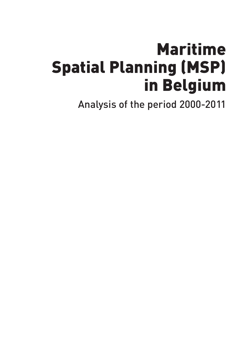# Maritime Spatial Planning (MSP) in Belgium

Analysis of the period 2000-2011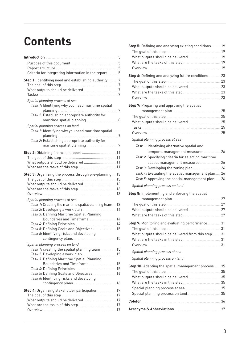# **Contents**

| Criteria for integrating information in the report  5                                                                                                                                                                                                                                                |  |
|------------------------------------------------------------------------------------------------------------------------------------------------------------------------------------------------------------------------------------------------------------------------------------------------------|--|
| Step 1: Identifying need and establishing authority 7                                                                                                                                                                                                                                                |  |
|                                                                                                                                                                                                                                                                                                      |  |
| Spatial planning process at sea<br>Task 1: Identifying why you need maritime spatial<br>Task 2: Establishing appropriate authority for<br>maritime spatial planning  8                                                                                                                               |  |
| Spatial planning process on land<br>Task 1: Identifying why you need maritime spatial<br>Task 2: Establishing appropriate authority for                                                                                                                                                              |  |
| Step 2: Obtaining financial support 11<br>What outputs should be delivered  11                                                                                                                                                                                                                       |  |
| Step 3: Organizing the process through pre-planning 13<br>What outputs should be delivered  13                                                                                                                                                                                                       |  |
| Spatial planning process at sea<br>Task 1: Creating the maritime spatial planning team 13<br>Task 2: Developing a work plan  14<br>Task 3: Defining Maritime Spatial Planning<br>Boundaries and Timeframe 14<br>Task 5: Defining Goals and Objectives 15<br>Task 6: Identifying risks and developing |  |
| Spatial planning process on land<br>Task 1: creating the spatial planning team  15<br>Task 2: Developing a work plan  15<br>Task 3: Defining Maritime Spatial Planning<br>Boundaries and Timeframe 15<br>Task 5: Defining Goals and Objectives 16<br>Task 6: Identifying risks and developing        |  |
| Step 4: Organizing stakeholder participation 17<br>What outputs should be delivered  17                                                                                                                                                                                                              |  |

| Step 5: Defining and analyzing existing conditions 19 |  |
|-------------------------------------------------------|--|
|                                                       |  |
| What outputs should be delivered  19                  |  |
|                                                       |  |
| Step 6: Defining and analyzing future conditions 23   |  |
|                                                       |  |
|                                                       |  |
|                                                       |  |
|                                                       |  |
| Step 7: Preparing and approving the spatial           |  |
|                                                       |  |
|                                                       |  |
| What outputs should be delivered  25                  |  |
|                                                       |  |
|                                                       |  |
| Spatial planning process at sea                       |  |
| Task 1: Identifying alternative spatial and           |  |
| temporal management measures  26                      |  |
| Task 2: Specifying criteria for selecting maritime    |  |
| spatial management measures  26                       |  |
|                                                       |  |
| Task 4: Evaluating the spatial management plan 26     |  |
| Task 5: Approving the spatial management plan 26      |  |
| Spatial planning process on land                      |  |
| Step 8: Implementing and enforcing the spatial        |  |
|                                                       |  |
|                                                       |  |
| What outputs should be delivered 27                   |  |
|                                                       |  |
| Step 9: Monitoring and evaluating performance 31      |  |
|                                                       |  |
| What outputs should be delivered from this step 31    |  |
|                                                       |  |
| Spatial planning process at sea                       |  |
| Spatial planning process on land                      |  |
|                                                       |  |
| Step 10: Adapting the spatial management process  35  |  |
|                                                       |  |
| What outputs should be delivered  35                  |  |
|                                                       |  |
| Special planning process on land 35                   |  |
|                                                       |  |
|                                                       |  |
|                                                       |  |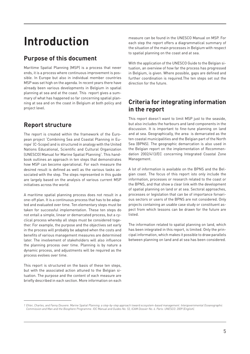# **Introduction**

## **Purpose of this document**

Maritime Spatial Planning (MSP) is a process that never ends, it is a process where continuous improvement is possible. In Europe but also in individual member countries MSP was set high on the agenda. In recent years there have already been various developments in Belgium in spatial planning at sea and at the coast. This report gives a summary of what has happened so far concerning spatial planning at sea and on the coast in Belgium at both policy and project level.

## **Report structure**

The report is created within the framework of the European project 'Combining Sea and Coastal Planning in Europe' (C-Scope) and is structured in analogy with the United Nations Educational, Scientific and Cultural Organization (UNESCO) Manual for Marine Spatial Planning<sup>1</sup>. This handbook outlines an approach in ten steps that demonstrates how MSP can become operational. For each measure the desired result is defined as well as the various tasks associated with the step. The steps represented in this guide are largely based on the analysis of various current MSP initiatives across the world.

A maritime spatial planning process does not result in a one-off plan. It is a continuous process that has to be adapted and evaluated over time. Ten elementary steps must be taken for successful implementation. These ten steps do not entail a simple, linear or demarcated process, but a cyclical process whereby all steps must be considered together. For example, the purpose and the objectives set early in the process will probably be adapted when the costs and benefits of various management measures are determined later. The involvement of stakeholders will also influence the planning process over time. Planning is by nature a dynamic process, and adjustments will be required as the process evolves over time.

This report is structured on the basis of these ten steps, but with the associated action attuned to the Belgian situation. The purpose and the content of each measure are briefly described in each section. More information on each measure can be found in the UNESCO Manual on MSP. For each step the report offers a diagrammatical summary of the situation of the main processes in Belgium with respect to spatial planning on the coast and at sea.

With the application of the UNESCO Guide to the Belgian situation, an overview of how far the process has progressed in Belgium, is given. Where possible, gaps are defined and further coordination is required.The ten steps set out the direction for the future.

## **Criteria for integrating information in the report**

This report doesn't want to limit MSP just to the seaside, but also includes the harbours and land components in the discussion. It is important to fine-tune planning on land and at sea. Geographically, the area is demarcated as the ten coastal municipalities and the Belgian part of the North Sea (BPNS). The geographic demarcation is also used in the Belgian report on the implementation of Recommendation 2002/413/EC concerning Integrated Coastal Zone Management.

A lot of information is available on the BPNS and the Belgian coast. The focus of this report isto only include the information, processes or research related to the coast or the BPNS, and that show a clear link with the development of spatial planning on land or at sea. Sectoral approaches, processes or legislation that can be of importance forvarious sectors or users of the BPNS are not considered. Only projects containing an usable case study or constituent aspect from which lessons can be drawn for the future are listed.

The information related to spatial planning on land, which has been integrated in this report, is limited. Only the principal information, which makes it possible to draw parallels between planning on land and at sea has been considered.

*<sup>1</sup> Ehler, Charles, and Fanny Douvere. Marine Spatial Planning: a step-by-step approach toward ecosystem-based management. Intergovernmental Oceanographic Commission and Man and the Biosphere Programme. IOC Manual and Guides No. 53, ICAM Dossier No. 6. Paris: UNESCO. 2009 (English).*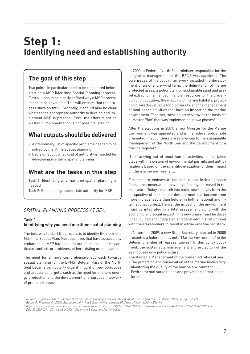## **Step 1: Identifying need and establishing authority**

## **The goal of this step**

Two points in particular need to be considered before starting a MSP (Maritime Spatial Planning) process. Firstly, it has to be clearly defined why a MSP process needs to be developed. This will ensure that the process stays on track. Secondly, it should also be clear whether the appropriate authority to develop and implement MSP is present. If not, the effort might be wasted if implementation is not possible later on.

## **What outputs should be delivered**

- A preliminary list of specific problems needed to be solved by maritime spatial planning
- Decision about what kind of authority is needed for developing maritime spatial planning

## **What are the tasks in this step**

Task 1: Identifying why maritime spatial planning is needed

Task 2: Establishing appropriate authority for MSP

#### *SPATIAL PLANNING PROCESS AT SEA*

#### **Task 1**

#### **Identifying why you need maritime spatial planning**

The best way to start the process is to identify the need of a Maritime Spatial Plan. Most countries that have successfully embarked on MSP have done so out of a need to tackle particular conflicts or problems, either existing or anticipated.

The need for a more comprehensive approach towards spatial planning for the BPNS (Belgian Part of the North Sea) became particularly urgent in light of new objectives and associated targets, such as the need for offshore energy production and the development of a European network of protected areas<sup>2</sup>.

In 2003, a Federal 'North Sea' minister responsible for the integrated management of the BPNS was appointed. The core issues of his policy framework included the development of an offshore wind farm, the delimitation of marine protected areas, a policy plan for sustainable sand and gravel extraction, enhanced financial resources for the prevention of oil pollution, the mapping of marine habitats, protection of wrecks valuable for biodiversity, and the management of land-based activities that have an impact on the marine environment. Together, these objectives provide the basis for a 'Master Plan' that was implemented in two phases<sup>3</sup>.

After the elections in 2007, a new Minister for the Marine Environment was appointed and in his federal policy note presented in 2008, there are references to the sustainable management of the North Sea and the development of a marine register<sup>4</sup>.

'The carrying out of most human activities at sea takes place within a system of environmental permits and authorisations based on the scientific evaluation of their impact on the marine environment.

Furthermore, endeavours for space at sea, including space for nature conservation, have significantly increased in recent years. Today, research into each (new) activity from the perspective of sustainable development has become even more indispensable than before, in both a national and international context. Hence, the impact on the environment must be integrated in a total assessment along with the economic and social impact. This new phase must be developed, guided and integrated at federal administration level with the stakeholders to result in a true «marine register»'

In November 2009, a new State Secretary (elected in 2008) presented a federal policy note 'Marine Environment' to the Belgian chamber of representatives<sup>5</sup>. In this policy document, the sustainable management and protection of the sea focuses on 4 policy pillars:

- Sustainable Management of the human activities at sea
- The protection and conservation of the marine biodiversity
- Monitoring the quality of the marine environment
- Environmental surveillance and prevention of marine pollution

*<sup>2</sup> Douvere, F.; Maes, F. (2007). The role of marine spatial planning in sea use management: The Belgian case, in: Marine Policy, 31: pp. 182-191*

*<sup>3</sup> Bossu, P.; Plasman, C. (2004). Een doorbraak in het Belgische Noordzeebeleid?. Argus Milieumagazine 2(1): 4-8*

*<sup>4</sup> Algemene Beleidsnota van de eerste minister inzake marien milieu - 52 0995/ (2007/2008): http://www.dekamer.be/FLWB/PDF/52/0995/52K0995015.pdf <sup>5</sup> DOC 52 2225/024 - 25 november 2009 – Algemene Beleidsnota Marien Milieu*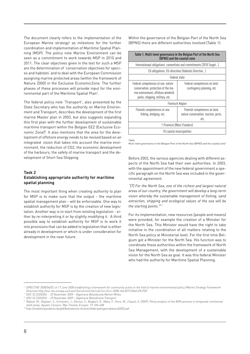The document clearly refers to the implementation of the European Marine strategy<sup>6</sup> as milestone for the further coordination and implementation of Maritime Spatial Planning (MSP). The policy note Marine Environment can be seen as a commitment to work towards MSP in 2010 and 2011. The clear objectives given in the text for such a MSP are the determination of 'conservation objectives for species and habitats' and to deal with the European Commission assigning marine protected areas (within the framework of Natura 2000) in the Exclusive EconomicZone. The further phases of these processes will provide input for the environmental part of the Maritime Spatial Plan7 .

The federal policy note 'Transport', also presented by the State Secretary who has the authority on Marine Environment and Transport, describes the development of the first marine Master plan in 2003, but also suggests expanding this first plan with the further development of sustainable maritime transport within the Belgian EEZ (Exclusive Economic Zone)<sup>8</sup>. It also mentions that the area for the development of offshore energy needs to be revised based on an integrated vision that takes into account the marine environment, the reduction of CO2, the economic development of the harbours, the safety of marine transport and the development of Short Sea Shipping.

#### **Task 2 Establishing appropriate authority for maritime spatial planning**

The most important thing when creating authority to plan for MSP is to make sure that the output - the maritime spatial management plan - will be enforceable. One way to establish authority for MSP is by the creation of new legislation. Another way is to start from existing legislation - either by re-interpreting it or by slightly modifying it. A third possible way to establish authority for MSP is to work it into provisions that can be added to legislation that is either already in development or which is under consideration for development in the near future.

Within the governance of the Belgian Part of the North Sea (BPNS) there are different authorities involved (Table 1).

|                                                                                                                                                     | Table 1. Multi-level governance in the Belgian Part of the North Sea<br>(BPNS) and the coastal zone |
|-----------------------------------------------------------------------------------------------------------------------------------------------------|-----------------------------------------------------------------------------------------------------|
|                                                                                                                                                     | Internationaal obligations: conventions and commitments (2010 Target)                               |
|                                                                                                                                                     | EU obligations: EU-directives (Habitats Directive)                                                  |
|                                                                                                                                                     | Federal state                                                                                       |
| Federal competences at sea: nature<br>conservation, protection of the ma-<br>rine environment, offshore windmill<br>parks, shipping, military, etc. | Federal competences on land:<br>contingency planning, etc.                                          |
|                                                                                                                                                     | <b>Flemisch Region</b>                                                                              |
| Flemish comptetences at sea:<br>fishing, dredging, etc.                                                                                             | Flemish competences on land:<br>nature conservation, tourism, ports,<br>etc.                        |
|                                                                                                                                                     | 1 Provincie (West-Flanders)                                                                         |
|                                                                                                                                                     | 10 coastal municipalities                                                                           |

Table:

Multi-level governance in the Belgian Part of the North Sea (BPNS) and the coastal zone<sup>9</sup>

Before 2003, the various agencies dealing with different aspects of the North Sea had their own authorities. In 2003, with the appointment of the new federal government a specific paragraph on the North Sea was included in the governmental agreement.

*"[7] For the North Sea, one of the richest and largest natural areas of our country, the government will develop a long-term vision whereby the sustainable management of fishing, sand extraction, shipping and ecological values of the sea will be the starting points.10"* 

For its implementation, new resources (people and means) were provided, for example the creation of a Minister for the North Sea. This Minister would have the right to take initiative in the coordination of all matters relating to the North Sea policy at Ministerial level. For the first time Belgium got a Minister for the North Sea. His function was to coordinate these authorities within the framework of North Sea Management, with the development of a sustainable vision for the North Sea as goal. It was this federal Minister who had the authority for Maritime Spatial Planning.

*<sup>6</sup> DIRECTIVE 2008/56/EC of 17 June 2008 establishing a framework for community action in the field of marine environmental policy (Marine Strategy Framework Directive) http://eur-lex.europa.eu/LexUriServ/LexUriServ.do?uri=OJ:L:2008:164:0019:0040:EN:PDF*

*<sup>7</sup> DOC 52 2225/024 - 25 November 2009 – Algemene Beleidsnota Marien Milieu*

*<sup>8</sup> DOC 52 2225/023 - 25 November 2009 – Algemene Beleidsnota Transport* 

*<sup>9</sup> Rabaut, M.; Degraer, S.; Schrijvers, J.; Derous, S.; Bogaert, D.; Maes, F.; Vincx, M.; Cliquet, A. (2009). Policy analysis of the MPA-process in temperate continental shelf areas. Aquatic Conserv: Mar. Freshw. Ecosyst. 19: 596-608*

*<sup>10</sup> http://mobielvlaanderen.be/pdf/beleidsnota-brieven/federaalregeerakkoord2003.pdf*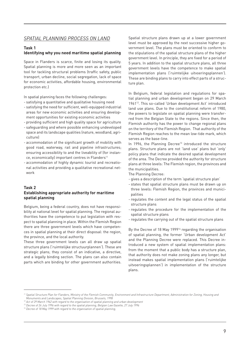#### *SPATIAL PLANNING PROCESS ON LAND*

#### **Task 1**

#### **Identifying why you need maritime spatial planning**

Space in Flanders is scarce, finite and losing its quality. Spatial planning is more and more seen as an important tool for tackling structural problems (traffic safety, public transport, urban decline, social segregation, lack of space for economic activities, affordable housing, environmental protection etc.)

In spatial planning faces the following challenges:

- satisfying a quantitative and qualitative housing need
- satisfying the need for sufficient, well-equipped industrial areas for new economic activities and ensuring development opportunities for existing economic activities
- providing sufficient and high quality space for agriculture
- safeguarding and where possible enhancing undeveloped space and its landscape qualities (nature, woodland, agriculture)
- accommodation of the significant growth of mobility with good road, waterway, rail and pipeline infrastructures; ensuring accessibility to and the liveability of (for instance, economically) important centres in Flanders<sup>11</sup>
- accommodation of highly dynamic tourist and recreational activities and providing a qualitative recreational network

#### **Task 2 Establishing appropriate authority for maritime spatial planning**

Belgium, being a federal country, does not have responsibility at national level for spatial planning. The regional authorities have the competence to put legislation with respect to spatial planning in place. Within the Flemish Region there are three government levels which have competences in spatial planning at their direct disposal: the region, the province, and the local authority.

These three government levels can all draw up spatial structure plans ('ruimtelijke structuurplannen'). These are strategic plans; they consist of an indicative, a directive, and a legally binding section. The plans can also contain parts which are binding for other government authorities.

Spatial structure plans drawn up at a lower government level must be approved by the next successive higher government level. The plans must be oriented to conform to the stipulations of the spatial structure plans of the higher government level. In principle, they are fixed for a period of 5 years. In addition to the spatial structure plans, all three government levels have the competence to make spatial implementation plans ('ruimtelijke uitvoeringsplannen'). These are binding plans to carry into effect parts of a structure plan.

In Belgium, federal legislation and regulations for spatial planning and urban development began on 29 March 196112. This so-called 'Urban development Act' introduced land use plans. Due to the constitutional reform of 1980, the powers to legislate on spatial planning were transferred from the Belgian State to the regions. Since then, the Flemish authority has the power to change regional plans on the territory of the Flemish Region. That authority of the Flemish Region reaches to the mean low-tide mark, which serves as the base-line.

In 1996, the Planning Decree<sup>13</sup> introduced the structure plans. Structure plans are not 'land use' plans but 'only' policy plans that indicate the desired spatial development of the area. The Decree provided the authority for structure plans at three levels: The Flemish region, the provinces and the municipalities.

The Planning Decree:

- gives a description of the term 'spatial structure plan'
- states that spatial structure plans must be drawn up on three levels: Flemish Region, the provinces and municipalities
- regulates the content and the legal status of the spatial structure plans
- regulates the procedure for the implementation of the spatial structure plans
- regulates the carrying out of the spatial structure plans

By the Decree of 18 May 1999<sup>14</sup> regarding the organisation of spatial planning, the former 'Urban development Act' and the Planning Decree were replaced. This Decree introduced a new system of spatial implementation plans: from the moment that a public body has a structure plan, that authority does not make zoning plans any longer, but instead makes spatial implementation plans ('ruimtelijke uitvoeringsplannen') in implementation of the structure plans.

<sup>&</sup>lt;sup>11</sup> Spatial Structure Plan for Flanders, Ministry of the Flemish Community, Environment and Infrastructure Department, Administration for Zoning, Housing and *Monuments and Landscapes, Spatial Planning Division, Brussels, 1998*

*<sup>12</sup> Act of 29 March 1962 with regard to the organisation of spatial planning and urban development*

*<sup>13</sup> Decree of 24 July 1996 with regard to the spatial planning, Belgian Law Gazette, 27 July 1996*

*<sup>14</sup> Decree of 18 May 1999 with regard to the organisation of spatial planning,*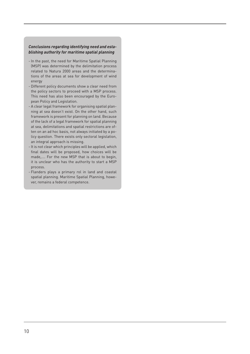#### *Conclusions regarding identifying need and establishing authority for maritime spatial planning*

- In the past, the need for Maritime Spatial Planning (MSP) was determined by the delimitation process related to Natura 2000 areas and the determinations of the areas at sea for development of wind energy
- Different policy documents show a clear need from the policy sectors to proceed with a MSP process. This need has also been encouraged by the European Policy and Legislation.
- A clear legal framework for organising spatial planning at sea doesn't exist. On the other hand, such framework is present for planning on land. Because of the lack of a legal framework for spatial planning at sea, delimitations and spatial restrictions are often on an ad hoc basis, not always initiated by a policy question. There exists only sectoral legislation, an integral approach is missing.
- It is not clear which principles will be applied, which final dates will be proposed, how choices will be made,.... For the new MSP that is about to begin, it is unclear who has the authority to start a MSP process.
- Flanders plays a primary rol in land and coastal spatial planning. Maritime Spatial Planning, however, remains a federal competence.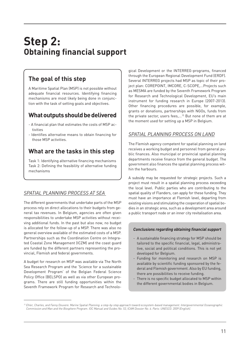## **Step 2: Obtaining financial support**

## **The goal of this step**

A Maritime Spatial Plan (MSP) is not possible without adequate financial resources. Identifying financing mechanisms are most likely being done in conjunction with the task of setting goals and objectives.

## **What outputs should be delivered**

- A financial plan that estimates the costs of MSP activities
- Identifies alternative means to obtain financing for those MSP activities.

## **What are the tasks in this step**

Task 1: Identifying alternative financing mechanisms Task 2: Defining the feasibility of alternative funding mechanisms

#### *SPATIAL PLANNING PROCESS AT SEA*

The different governments that undertake parts of the MSP process rely on direct allocations to their budgets from general tax revenues. In Belgium, agencies are often given responsibilities to undertake MSP activities without receiving additional funds. In the past but also now, no budget is allocated for the follow-up of a MSP. There was also no general overview available of the estimated costs of a MSP. Partnerships such as the Coordination Centre on Integrated Coastal Zone Management (ICZM) and the coast guard are funded by the different partners representing the provincial, Flemish and federal governments.

A budget for research on MSP was available via The North Sea Research Program and the 'Science for a sustainable Development Program' of the Belgian Federal Science Policy Office (BELSPO) as well as via other European programs. There are still funding opportunities within the Seventh Framework Program for Research and Technological Development or the INTERREG-programs, financed through the European Regional Development Fund (ERDF). Several INTERREG projects had MSP as topic of their project plan: COREPOINT, IMCORE, C-SCOPE,...Projects such as MESMA are funded by the Seventh Framework Program for Research and Technological Development, EU's main instrument for funding research in Europe (2007-2013). Other financing procedures are possible, for example, grants or donations, partnerships with NGOs, funds from the private sector, users fees,...<sup>15</sup> But none of them are at the moment used for setting up a MSP in Belgium.

### *SPATIAL PLANNING PROCESS ON LAND*

The Flemish agency competent for spatial planning on land receives a working budget and personnel from general public finances. Also municipal or provincial spatial planning departments receive finance from the general budget. The government also finances the spatial planning process within the harbours.

A subsidy may be requested for strategic projects. Such a project must result in a spatial planning process exceeding the local level. Public parties who are contributing to the spatial quality of Flanders, can apply for these funding. They must have an importance at Flemish level, departing from existing visions and stimulating the cooperation of spatial bodies in an strategic area, such as a development area around a public transport node or an inner city revitalisation area.

#### *Conclusions regarding obtaining financial support*

- A sustainable financing strategy for MSP should be tailored to the specific financial, legal, administrative, social and political conditions. This is not yet developed for Belgium.
- Funding for monitoring and research on MSP is available by scientific funding sponsored by the federal and Flemish government. Also by EU funding, there are possibilities to receive funding.
- There is no specific budget allocated to MSP within the different governmental bodies in Belgium.

<sup>&</sup>lt;sup>15</sup> Ehler, Charles, and Fanny Douvere. Marine Spatial Planning: a step-by-step approach toward ecosystem-based management. Intergovernmental Oceanographic *Commission and Man and the Biosphere Program. IOC Manual and Guides No. 53, ICAM Dossier No. 6. Paris: UNESCO. 2009 (English).*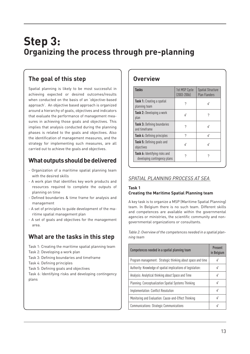## **Step 3: Organizing the process through pre-planning**

## **The goal of this step**

Spatial planning is likely to be most successful in achieving expected or desired outcomes/results when conducted on the basis of an 'objective-based approach'. An objective based approach is organized around a hierarchy of goals, objectives and indicators that evaluate the performance of management measures in achieving those goals and objectives. This implies that analysis conducted during the planning phases is related to the goals and objectives. Also the identification of management measures, and the strategy for implementing such measures, are all carried out to achieve the goals and objectives.

## **What outputs should be delivered**

- Organization of a maritime spatial planning team with the desired skills
- A work plan that identifies key work products and resources required to complete the outputs of planning on time
- Defined boundaries & time frame for analysis and management
- A set of principles to guide development of the maritime spatial management plan
- A set of goals and objectives for the management area.

## **What are the tasks in this step**

- Task 1: Creating the maritime spatial planning team
- Task 2: Developing a work plan
- Task 3: Defining boundaries and timeframe
- Task 4: Defining principles
- Task 5: Defining goals and objectives

Task 6: Identifying risks and developing contingency plans

### **Overview**

| <b>Tasks</b>                                                  | 1st MSP Cycle<br>$(2003 - 2006)$ | <b>Spatial Structure</b><br><b>Plan Flanders</b> |
|---------------------------------------------------------------|----------------------------------|--------------------------------------------------|
| <b>Task 1:</b> Creating a spatial<br>planning team            |                                  |                                                  |
| Task 2: Developing a work<br>plan                             | V                                |                                                  |
| <b>Task 3: Defining boundaries</b><br>and timeframe           |                                  |                                                  |
| <b>Task 4:</b> Defining principles                            | 7                                |                                                  |
| Task 5: Defining goals and<br>objectives                      | V                                | V                                                |
| Task 6: Identifying risks and<br>developing contingency plans |                                  |                                                  |

### *SPATIAL PLANNING PROCESS AT SEA*

#### **Task 1 Creating the Maritime Spatial Planning team**

A key task is to organize a MSP (Maritime Spatial Planning) team. In Belgium there is no such team. Different skills and competences are available within the governmental agencies or ministries, the scientific community and nongovernmental organizations or consultants.

*Table 2: Overview of the competences needed in a spatial planning team*

| Competences needed in a spatial planning team                | Present<br>in Belgium |
|--------------------------------------------------------------|-----------------------|
| Program management: Strategic thinking about space and time  | V                     |
| Authority: Knowledge of spatial implications of legislation: | v                     |
| Analysis: Analytical thinking about Space and Time           | V                     |
| <b>Planning: Conceptualization Spatial Systems Thinking</b>  | V                     |
| Implementation: Conflict Resolution                          | V                     |
| Monitoring and Evaluation: Cause-and-Effect Thinking         | V                     |
| <b>Communications: Strategic Communications</b>              | v                     |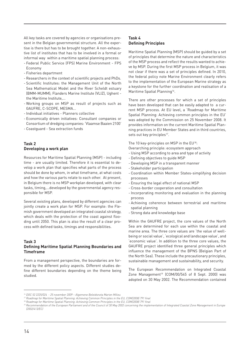All key tasks are covered by agencies or organisations present in the Belgian governmental structure. All the expertise is there but has to be brought together. A non-exhaustive list of institutes that has to be involved in a formal or informal way within a maritime spatial planning process:

- Federal Public Service (FPS) Marine Environment FPS Economy
- Fisheries department
- Researchers in the context of scientific projects and PhDs.
- Scientific Institutes: the Management Unit of the North Sea Mathematical Model and the River Scheldt estuary (BMM-MUMM); Flanders Marine Institute (VLIZ), Ughent the Maritime Institute,...
- Working groups on MSP as result of projects such as GAUFRE, C-SCOPE, MESMA...
- Individual initiatives Planners collective
- Economically driven initiatives: Consultant companies or Consortium of dredging companies: 'Vlaamse Baaien 2100'
- Coastguard Sea extraction funds

#### **Task 2 Developing a work plan**

Resources for Maritime Spatial Planning (MSP) - including time - are usually limited. Therefore it is essential to develop a work plan that specifies what parts of the process should be done by whom, in what timeframe, at what costs and how the various parts relate to each other. At present, in Belgium there is no MSP workplan developed, with clear tasks, timing,...developed by the governmental agency responsible for MSP.

Several existing plans, developed by different agencies can jointly create a work plan for MSP. For example: the Flemish government developed an integrated coastal strategy, which deals with the protection of the coast against flooding until 2050. This plan is also the result of a clear process with defined tasks, timings and responsibilities.

#### **Task 3**

#### **Defining Maritime Spatial Planning Boundaries and Timeframe**

From a management perspective, the boundaries are formed by the different policy aspects. Different studies define different boundaries depending on the theme being studied.

#### **Task 4 Defining Principles**

Maritime Spatial Planning (MSP) should be guided by a set of principles that determine the nature and characteristics of the MSP process and reflect the results wanted to achieve by MSP. During the first MSP process in Belgium, it was not clear if there was a set of principles defined. In 2010, the federal policy note Marine Environment clearly refers to the implementation of the European Marine strategy as a keystone for the further coordination and realisation of a Maritime Spatial Planning<sup>16</sup>.

There are other processes for which a set of principles have been developed that can be easily adapted to a current MSP process. At EU level, a 'Roadmap for Maritime Spatial Planning: Achieving common principles in the EU' was adopted by the Commission on 25 November 2008. It provides information on the current Maritime Spatial Planning practices in EU Member States and in third countries, sets out key principles<sup>17</sup>.

The 10 key-principles on MSP in the EU<sup>18</sup>:

Overarching principle: ecosystem approach

- Using MSP according to area and type of activity
- Defining objectives to guide MSP
- Developing MSP in a transparent manner
- Stakeholder participation
- Coordination within Member States-simplifying decision processes
- Ensuring the legal effect of national MSP
- Cross-border cooperation and consultation
- Incorporating monitoring and evaluation in the planning process
- Achieving coherence between terrestrial and maritime spatial planning
- Strong data and knowledge base

Within the GAUFRE project, the core values of the North Sea are determined for each use within the coastal and marine area. The three core values are 'the value of wellbeing or social value', 'ecological and landscape value', and 'economic value'. In addition to the three core values, the GAUFRE project identified three general principles which influence the management of the BPNS (Belgian Part of the North Sea). These include the precautionary principles, sustainable management and sustainability, and security.

The European Recommendation on Integrated Coastal Zone Management<sup>19</sup> (COM/00/545 of 8 Sept. 2000) was adopted on 30 May 2002. The Recommendation contained

*<sup>16</sup> DOC 52 2225/024 - 25 november 2009 – Algemene Beleidsnota Marien Milieu* 

*<sup>17</sup> Roadmap for Maritime Spatial Planning: Achieving Common Principles in the EU, COM(2008) 791 final* 

*<sup>18</sup> Roadmap for Maritime Spatial Planning: Achieving Common Principles in the EU, COM(2008) 791 final* 

<sup>&</sup>lt;sup>19</sup> Recommendation of the European Parliament and of the Council of 30 May 2002 concerning the implementation of Integrated Coastal Zone Management in Europe *(2002/413/EC)*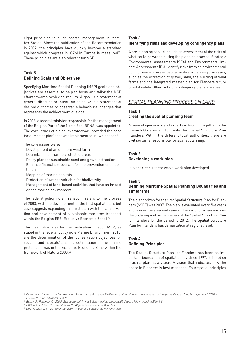eight principles to guide coastal management in Member States. Since the publication of the Recommendation in 2002, the principles have quickly become a standard against which progress in ICZM in Europe is measured<sup>20</sup>. These principles are also relevant for MSP.

#### **Task 5 Defining Goals and Objectives**

Specifying Maritime Spatial Planning (MSP) goals and objectives are essential to help to focus and tailor the MSP effort towards achieving results. A goal is a statement of general direction or intent. An objective is a statement of desired outcomes or observable behavioural changes that represents the achievement of a goal.

In 2003, a federal minister responsible for the management of the Belgian Part of the North Sea (BPNS) was appointed. The core issues of his policy framework provided the base for a 'Master plan' that was implemented in two phases.<sup>21</sup>

The core issues were:

- Development of an offshore wind farm
- Delimitation of marine protected areas
- Policy plan for sustainable sand and gravel extraction
- Enhance financial resources for the prevention of oil pollution
- Mapping of marine habitats
- Protection of wrecks valuable for biodiversity
- Management of land-based activities that have an impact on the marine environment.

The federal policy note 'Transport' refers to the process of 2003, with the development of the first spatial plan, but also suggests expanding this first plan with the conservation and development of sustainable maritime transport within the Belgian EEZ (Exclusive Economic Zone).<sup>22</sup>

The clear objectives for the realisation of such MSP, as stated in the federal policy note Marine Environment 2010, are the determination of the 'conservation objectives for species and habitats' and the delimitation of the marine protected areas in the Exclusive Economic Zone within the framework of Natura 2000.<sup>23</sup>

#### **Task 6 Identifying risks and developing contingency plans.**

A pre-planning should include an assessment of the risks of what could go wrong during the planning process. Strategic Environmental Assessments (SEA) and Environmental Impact Assessments (EIA) identify risks from an environmental point of view and are imbedded in divers planning processes, such as the extraction of gravel, sand, the building of wind farms and the integrated master plan for Flanders future coastal safety. Other risks or contingency plans are absent.

#### *SPATIAL PLANNING PROCESS ON LAND*

#### **Task 1 creating the spatial planning team**

A team of specialists and experts is brought together in the Flemish Government to create the Spatial Structure Plan Flanders. Within the different local authorities, there are civil servants responsible for spatial planning.

#### **Task 2 Developing a work plan**

It is not clear if there was a work plan developed.

#### **Task 3 Defining Maritime Spatial Planning Boundaries and Timeframe**

The planhorizon for the first Spatial Structure Plan for Flanders (SSPF) was 2007. The plan is evaluated every five years and is now due a second review. This second review ensures the updating and partial review of the Spatial Structure Plan for Flanders for the period to 2012. The Spatial Structure Plan for Flanders has demarcation at regional level.

#### **Task 4 Defining Principles**

The Spatial Structure Plan for Flanders has been an important foundation of spatial policy since 1997. It is not so much a plan as a vision. A vision that indicates how the space in Flanders is best managed. Four spatial principles

*<sup>20</sup> Communication from the Commission - Report to the European Parliament and the Council: an evaluation of Integrated Coastal Zone Management (ICZM) in Europe /\* COM/2007/0308 final \*/* 

*<sup>21</sup> Bossu, P.; Plasman, C. (2004). Een doorbraak in het Belgische Noordzeebeleid?. Argus Milieumagazine 2(1): 4-8*

*<sup>22</sup> DOC 52 2225/023 - 25 november 2009 - Algemene Beleidsnota Mobiliteit* 

*<sup>23</sup> DOC 52 2225/024 - 25 November 2009 - Algemene Beleidsnota Marien Milieu*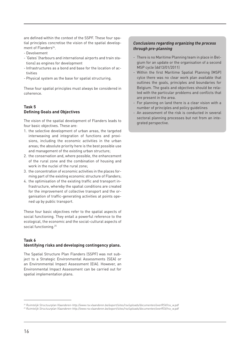are defined within the context of the SSPF. These four spatial principles concretise the vision of the spatial development of Flanders<sup>24</sup>.

- Devolvement
- 'Gates' (harbours and international airports and train stations) as engines for development
- Infrastructures as a bond and base for the location of activities
- Physical system as the base for spatial structuring.

These four spatial principles must always be considered in coherence.

#### **Task 5 Defining Goals and Objectives**

The vision of the spatial development of Flanders leads to four basic objectives. These are:

- 1. the selective development of urban areas, the targeted interweaving and integration of functions and provisions, including the economic activities in the urban areas; the absolute priority here is the best possible use and management of the existing urban structure;
- 2. the conservation and, where possible, the enhancement of the rural zone and the combination of housing and work in the nuclei of the rural zone;
- 3. the concentration of economic activities in the places forming part of the existing economic structure of Flanders;
- 4. the optimisation of the existing traffic and transport infrastructure, whereby the spatial conditions are created for the improvement of collective transport and the organisation of traffic-generating activities at points opened up by public transport.

These four basic objectives refer to the spatial aspects of social functioning. They entail a powerful reference to the ecological, the economic and the social-cultural aspects of social functioning.<sup>25</sup>

#### **Task 6**

#### **Identifying risks and developing contingency plans.**

The Spatial Structure Plan Flanders (SSPF) was not subject to a Strategic Environmental Assessments (SEA) or an Environmental Impact Assessment (EIA). However, an Environmental Impact Assessment can be carried out for spatial implementation plans.

#### *Conclusions regarding organizing the process through pre-planning*

- There is no Maritime Planning team in place in Belgium for an update or the organisation of a second MSP cycle (dd13/01/2011)
- Within the first Maritime Spatial Planning (MSP) cylce there was no clear work plan available that outlines the goals, principles and boundaries for Belgium. The goals and objectives should be related with the particular problems and conflicts that are present in the area.
- For planning on land there is a clear vision with a number of principles and policy guidelines
- An assessment of the risk is conducted in several sectoral planning processes but not from an integrated perspective.

*<sup>24</sup> Ruimtelijk Structuurplan Vlaanderen-http://www.rsv.vlaanderen.be/export/sites/rsv/uploads/documenten/overRSV/rsv\_w.pdf <sup>25</sup> Ruimtelijk Structuurplan Vlaanderen-http://www.rsv.vlaanderen.be/export/sites/rsv/uploads/documenten/overRSV/rsv\_w.pdf*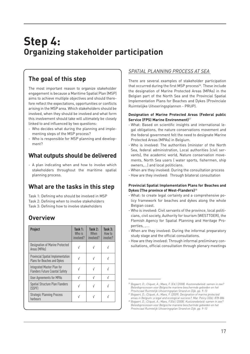## **Step 4: Organizing stakeholder participation**

## **The goal of this step**

The most important reason to organize stakeholder engagement is because a Maritime Spatial Plan (MSP) aims to achieve multiple objectives and should therefore reflect the expectations, opportunities or conflicts arising in the MSP area. Which stakeholders should be involved, when they should be involved and what form this involvement should take will ultimately be closely linked to and influenced by two questions:

- Who decides what during the planning and implementing steps of the MSP process?
- Who is responsible for MSP planning and development?

## **What outputs should be delivered**

- A plan indicating when and how to involve which stakeholders throughout the maritime spatial planning process.

## **What are the tasks in this step**

Task 1: Defining who should be involved in MSP Task 2: Defining when to involve stakeholders Task 3: Defining how to involve stakeholders

## **Overview**

| Project                                                                        | Task 1:<br>Who is<br>involved? | Task $2:$<br><b>When</b><br>involved? | Task $3:$<br>How to<br>involve? |
|--------------------------------------------------------------------------------|--------------------------------|---------------------------------------|---------------------------------|
| Designation of Marine Protected<br>Areas (MPAs)                                | V                              | V                                     | V                               |
| <b>Provincial Spatial Implementation</b><br><b>Plans for Beaches and Dykes</b> | V                              | V                                     | V                               |
| Integrated Master Plan for<br><b>Flanders Future Coastal Safety</b>            | V                              | V                                     |                                 |
| <b>User Agreements for MPAs</b>                                                | V                              | V                                     | V                               |
| Spatial Structure Plan Flanders<br>(SSPF)                                      | V                              | V                                     | V                               |
| <b>Strategic Planning Process</b><br>harbours                                  | V                              |                                       |                                 |

### *SPATIAL PLANNING PROCESS AT SEA*

There are several examples of stakeholder participation that occurred during the first MSP process<sup>26</sup>. These include the designation of Marine Protected Areas (MPAs) in the Belgian part of the North Sea and the Provincial Spatial Implementation Plans for Beaches and Dykes (Provinciale Ruimtelijke Uitvoeringsplannen - PRUP).

#### **Designation of Marine Protected Areas (Federal public Service (FPS) Marine Environment)**<sup>27</sup>

- What: Based on scientific insights and international legal obligations, the nature conservations movement and the federal government felt the need to designate Marine Protected Areas (MPAs) in Belgium.
- Who is involved: The authorities (minister of the North Sea, federal administration, Local authorities (civil servants), the academic world, Nature conservation movements, North Sea users ( water sports, fishermen, ship owners,...) and local politicians.
- When are they involved: During the consultation process
- How are they involved: Through bilateral consultation

#### **Provincial Spatial Implementation Plans for Beaches and Dykes (The province of West-Flanders)**<sup>28</sup>

- What: to create legal certainty and a comprehensive policy framework for beaches and dykes along the whole Belgian coast.
- Who is involved: Civil servants of the province, local politicians, civil society, Authority for tourism (WESTTOER), the Flemish Agency for Spatial Planning and Heritage Properties, ,….
- When are they involved: During the informal preparatory study stage and the official consultations.
- How are they involved: Through informal preliminary consultations, official consultation through plenary meetings

*<sup>26</sup> Bogaert, D.; Cliquet, A.; Maes, F. (Ed.) (2008). Kustzonebeleid: samen in zee? Beleidsprocessen voor Belgische mariene beschermde gebieden en het Provinciaal Ruimtelijk Uitvoeringsplan Strand en Dijk. pp. 9-10* 

*<sup>27</sup> Bogaert, D.; Cliquet, A.; Maes, F. (2009). Designation of marine protected areas in Belgium: a legal and ecological success?. Mar. Policy 33(6): 878-886*

*<sup>28</sup> Bogaert, D.; Cliquet, A.; Maes, F.(Ed.) (2008). Kustzonebeleid: samen in zee? Beleidsprocessen voor Belgische mariene beschermde gebieden en het Provinciaal Ruimtelijk Uitvoeringsplan Strand en Dijk. pp. 9-10*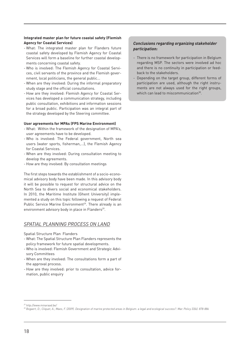#### **Integrated master plan for future coastal safety (Flemish Agency for Coastal Services)**

- What: The integrated master plan for Flanders future coastal safety developed by Flemish Agency for Coastal Services will form a baseline for further coastal developments concerning coastal safety.
- Who is involved: The Flemish Agency for Coastal Services, civil servants of the province and the Flemish government, local politicians, the general public...
- When are they involved: During the informal preparatory study stage and the official consultations.
- How are they involved: Flemish Agency for Coastal Services has developed a communication strategy, including public consultation, exhibitions and information sessions for a broad public. Participation was an integral part of the strategy developed by the Steering committee.

#### **User agreements for MPAs (FPS Marine Environment)**

- What: Within the framework of the designation of MPA's, user agreements have to be developed.
- Who is involved: The Federal government, North sea users (water sports, fisherman,...), the Flemish Agency for Coastal Services.
- When are they involved: During consultation meeting to develop the agreements.
- How are they involved: By consultation meetings

The first steps towards the establishment of a socio-economical advisory body have been made. In this advisory body it will be possible to request for structural advice on the North Sea to divers social and economical stakeholders. In 2010, the Maritime Institute (Ghent University) implemented a study on this topic following a request of Federal Public Service Marine Environment<sup>29</sup>. There already is an environment advisory body in place in Flanders<sup>29</sup>.

#### *SPATIAL PLANNING PROCESS ON LAND*

Spatial Structure Plan Flanders

- What: The Spatial Structure Plan Flanders represents the policy framework for future spatial developments.
- Who is involved: Flemish Government and Strategic Advisory Committees
- When are they involved: The consultations form a part of the approval process.
- How are they involved: prior to consultation, advice formation, public enquiry

#### *Conclusions regarding organizing stakeholder participation:*

- There is no framework for participation in Belgium regarding MSP. The sectors were involved ad hoc and there is no continuity in participation or feedback to the stakeholders.
- Depending on the target group, different forms of participation are used, although the right instruments are not always used for the right groups, which can lead to miscommunication<sup>30</sup>.

*<sup>29</sup> http://www.minaraad.be/*

*<sup>30</sup> Bogaert, D.; Cliquet, A.; Maes, F. (2009). Designation of marine protected areas in Belgium: a legal and ecological success?. Mar. Policy 33(6): 878-886*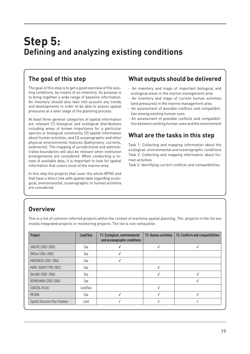## **Step 5: Defining and analyzing existing conditions**

## **The goal of this step**

The goal of this step is to get a good overview of the existing conditions, by means of an inventory. Its purpose is to bring together a wide range of baseline information. An inventory should also take into account any trends and developments in order to be able to assess spatial pressures at a later stage of the planning process.

At least three general categories of spatial information are relevant (1) biological and ecological distributions including areas of known importance for a particular species or biological community, (2) spatial information about human activities; and (3) oceanographic and other physical environmental features (bathymetry, currents, sediments). The mapping of jurisdictional and administrative boundaries will also be relevant when institution arrangements are considered. When conducting a review of available data, it is important to look for spatial information that covers most of the marine area.

In this step the projects that cover the whole BPNS and that have a direct link with spatial data regarding ecological, environmental, oceanographic or human activities are considered.

## **What outputs should be delivered**

- An inventory and maps of important biological and ecological areas in the marine management area
- An inventory and maps of current human activities (and pressures) in the marine management area
- An assessment of possible conflicts and compatibilities among existing human uses
- An assessment of possible conflicts and compatibilities between existing human uses and the environment

## **What are the tasks in this step**

Task 1: Collecting and mapping information about the ecological, environmental and oceanographic conditions Task 2: Collecting and mapping information about human activities

Task 3: Identifying current conflicts and compatibilities

## **Overview**

This is a list of common referred projects within the context of maritime spatial planning. The projects in the list are mostly integrated projects or monitoring projects. The list is non-exhaustive.

| Project                         | Land/Sea | T1: Ecological, environmental<br>and oceanographic conditions | <b>T2: Human activities</b> | <b>T3: Conflicts and compatibilities</b> |
|---------------------------------|----------|---------------------------------------------------------------|-----------------------------|------------------------------------------|
| GAUFRE (2003-2005)              | Sea      |                                                               |                             |                                          |
| BWZee (2004-2006)               | Sea      |                                                               |                             |                                          |
| MAREBASS (2002-2006)            | Sea      |                                                               |                             |                                          |
| MARE-DASM (1998-2002)           | Sea      |                                                               | V                           |                                          |
| BALANS (2002-2006)              | Sea      |                                                               |                             |                                          |
| BEWREMABI (2003-2006)           | Sea      |                                                               |                             |                                          |
| COASTAL ATLAS                   | Land/Sea |                                                               | v                           |                                          |
| <b>MESMA</b>                    | Sea      |                                                               |                             |                                          |
| Spatial Structure Plan Flanders | Land     |                                                               |                             |                                          |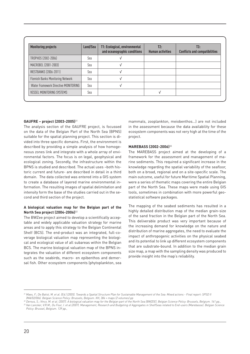| <b>Monitoring projects</b>              | Land/Sea | T1: Ecological, environmental<br>and oceanographic conditions | T2:<br><b>Human activities</b> | T3:<br><b>Conflicts and compatibilities</b> |
|-----------------------------------------|----------|---------------------------------------------------------------|--------------------------------|---------------------------------------------|
| TROPHOS (2002-2006)                     | Sea      |                                                               |                                |                                             |
| MACROBEL (2001-2003)                    | Sea      |                                                               |                                |                                             |
| <b>WESTBANKS (2006-2011)</b>            | Sea      |                                                               |                                |                                             |
| <b>Flemish Banks Monitoring Network</b> | Sea      |                                                               |                                |                                             |
| Water Framework Directive MONITORING    | Sea      |                                                               |                                |                                             |
| <b>VESSEL MONITORING SYSTEMS</b>        | Sea      |                                                               | ν                              |                                             |

#### **GAUFRE – project (2003-2005)**<sup>31</sup>

The analysis section of the GAUFRE project, is focussed on the data of the Belgian Part of the North Sea (BPNS) suitable for the spatial planning project. This section is divided into three specific domains. First, the environment is described by providing a simple analysis of how homogeneous zones link and integrate with a whole array of environmental factors. The focus is on legal, geophysical and ecological zoning. Secondly, the infrastructure within the BPNS is studied and described. The actual uses –both historic current and future- are described in detail in a third domain. The data collected was entered into a GIS system to create a database of layered marine environmental information. The resulting images of spatial delimitation and intensity form the base of the studies carried out in the second and third section of the project.

#### **A biological valuation map for the Belgian part of the North Sea project (2004-2006)**<sup>32</sup>

The BWZee project aimed to develop a scientifically acceptable and widely applicable valuation strategy for marine areas and to apply this strategy to the Belgian Continental Shelf (BCS). The end-product was an integrated, full-coverage biological valuation map representing the biological and ecological value of all subareas within the Belgian BCS. The marine biological valuation map of the BPNS integrates the valuation of different ecosystem components such as the seabirds, macro- en epibenthos and demersal fish. Other ecosystem components (phytoplankton, sea

mammals, zooplankton, meiobenthos…) are not included in the assessment because the data availability for these ecosystem components was not very high at the time of the project.

#### **MAREBASS (2002-2006)**<sup>33</sup>

The MAREBASS project aimed at the developing of a framework for the assessment and management of marine sediments. This required a significant increase in the knowledge regarding the spatial variability of the seafloor, both on a broad, regional and on a site-specific scale. The main outcome, useful for future Maritime Spatial Planning, were a series of thematic maps covering the entire Belgian part of the North Sea. These maps were made using GIS tools, sometimes in combination with more powerful geostatistical software packages.

The mapping of the seabed sediments has resulted in a highly detailed distribution map of the median grain-size of the sand fraction in the Belgian part of the North Sea. This deliverable product was very important because of the increasing demand for knowledge on the nature and distribution of marine aggregates, the need to evaluate the impact of anthropogenic activities on the physical seabed and its potential to link up different ecosystem components that are substrate-bound. In addition to the median grain size map, a map with the sampling density was produced to provide insight into the map's reliability.

*<sup>31</sup> Maes, F.; De Batist, M. et al. (Ed.) (2005). Towards a Spatial Structure Plan for Sustainable Management of the Sea: Mixed actions - Final report: SPSD II (MA/02/006). Belgian Science Policy: Brussels, Belgium. XIII, 384 + maps (2 volumes) pp*

*<sup>32</sup> Derous, S.; Vincx, M. et al. (2007). A biological valuation map for the Belgian part of the North Sea (BWZEE). Belgian Science Policy: Brussels, Belgium. 161 pp., <sup>33</sup> Van Lancker, V.R.M.; Du Four, I. et al.(2007). Management, Research and Budgeting of Aggregates in ShelfSeas related to End-users (Marebasse). Belgian Science Policy: Brussel, Belgium. 139 pp.,*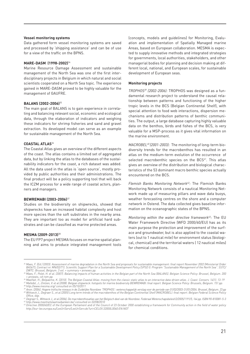#### **Vessel monitoring systems**

Data gathered form vessel monitoring systems are saved and processed by 'shipping assistance' and can be of use for a view of the traffic on the BPNS.

#### **MARE-DASM (1998-2002)**<sup>34</sup>

Marine Resource Damage Assessment and sustainable management of the North Sea was one of the first interdisciplinary projects in Belgium in which natural and social scientists cooperated on a North Sea topic. The experience gained in MARE-DASM proved to be highly valuable for the management of GAUFRE.

#### **BALANS (2002-2006)**<sup>35</sup>

The main goal of BALANS is to gain experience in correlating and balancing relevant social, economic and ecological data, through the elaboration of indicators and weighing these indicators for shrimp fisheries and sand and gravel extraction. Its developed model can serve as an example for sustainable management of the North Sea.

#### **COASTAL ATLAS**<sup>36</sup>

The Coastal Atlas gives an overview of the different aspects of the coast. The atlas contains a limited set of aggregated data, but by linking the atlas to the databases of the sustainability indicators for the coast, a rich dataset was added. All the data used in the atlas is 'open source', mostly provided by public authorities and their administrations. The final product will be a policy supporting tool that will back the ICZM process for a wide range of coastal actors, planners and managers.

#### **BEWREMABI (2003-2006)**<sup>37</sup>

Studies on the biodiversity on shipwrecks, showed that shipwrecks have an increased habitat complexity and host more species than the soft substrates in the nearby area. They are important too as model for artificial hard substrates and can be classified as marine protected areas.

#### **MESMA (2009-2013)**<sup>38</sup>

The EU FP7 project MESMA focuses on marine spatial planning and aims to produce integrated management tools (concepts, models and guidelines) for Monitoring, Evaluation and implementation of Spatially Managed marine Areas, based on European collaboration. MESMA is expected to supply innovative methods and integrated strategies for governments, local authorities, stakeholders, and other managerial bodies for planning and decision making at different local, national, and European scales, for sustainable development of European seas.

#### **Monitoring projects**

*TROPHOS39 (2002-2006):* TROPHOS was designed as a fundamental research project to understand the causal relationship between patterns and functioning of the higher tropic levels in the BCS (Belgian Continental Shelf), with special attention to food web interactions, dispersion mechanisms and distribution patterns of benthic communities. The output, a large database capturing highly valuable data on the benthos, birds and fishes of the BCS, is very valuable for a MSP-process as it gives vital information on the marine environment.

*MACROBEL40 (2001-2003):* The monitoring of long-term biodiversity trends for the macrobenthos has resulted in an atlas on the medium-term evolution of the occurrence of selected macrobenthic species on the BCS<sup>41</sup>. This atlas gives an overview of the distribution and biological characteristics of the 53 dominant macro benthic species actually encountered on the BCS.

*Flemish Banks Monitoring Network42:* The Flemish Banks Monitoring Network consists of a nautical Monitoring Network made up of measuring pillars and wave data buoys, weather forecasting centres on the shore and a computer network in Ostend. The data collected gives baseline information on the oceanographic states of the BPNS.

*Monitoring within the water directive framework43:* The EU Water Framework Directive (WFD 2000/60/EU) has as its main purpose the protection and improvement of the surface and groundwater, but is also applied to the coastal waters (out to 1 nautical mile) for environment status (biological, chemical) and the territorial waters ( 12 nautical miles) for chemical conditions.

*<sup>34</sup> Maes, F. (Ed.) (2003). Assessment of marine degradation in the North Sea and proposals for sustainable management: final report November 2002 (Ministerial Order BA3673, Contract nr. MN/02/71). Scientific Support Plan for a Sustainable Development Policy (SPSD I): Program "Sustainable Management of the North Sea". SSTC/ DWTC: Brussel, Belgium. 3 vol. + summary + annexes pp.*

*<sup>35</sup> Maes, F.; Polet, H. et al. (2007). Balancing impacts of human activities in the Belgian part of the North Sea (BALANS). Belgian Science Policy: Brussel, Belgium. 200 + annexes, cd-rom pp.*

*<sup>36</sup> Maelfait, H.; Belpaeme, K. (2010). The Belgian Coastal Atlas: moving from the classic static atlas to an interactive data-driven atlas. J. Coast. Conserv. 14(1): 13-19*

<sup>&</sup>lt;sup>38</sup> http://www.mesma.org/ consulted on 05/10/2011<br><sup>39</sup> Anon. (2004). Hogere trofische niveaus in de Zuidelijke Noordzee 'TROPHOS': wetenschappelijk verslag voor de periode van 01/02/2003-31/01/2004. Brussel, Belgium. 23 p *<sup>40</sup> Wittoeck J., Degraer S., et al.(2005) Long term trends of the macrobenthos of the Belgian Continental Shelf (MACROBEL): final report. Belgian Federal Science Policy Office, 66p.*

*<sup>41</sup> Degraer S., Wittoeck J., et al.(2006). De macrobenthosatlas van het Belgisch deel van de Noordzee. Federaal Wetenschapsbeleid D/2005/1191/5, 164 pp. ISBN 90-810081-5-3 <sup>42</sup> http://www.meetnetvlaamsebanken.be/ consulted on 02/08/2010*

*<sup>43</sup> Directive 2000/60/EC of the European Parliament and of the Council of 23 October 2000 establishing a framework for Community action in the field of water policy http://eur-lex.europa.eu/LexUriServ/LexUriServ.do?uri=CELEX:32000L0060:EN:NOT*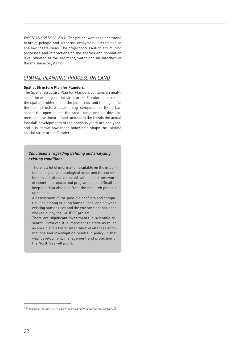*WESTBANKS44 (2006-2011):* The project wants to understand benthic, pelagic and airborne ecosystem interactions in shallow coastal seas. The project focussed on structuring processes and interactions on the species and population level situated at the sediment, water and air interface of the marine ecosystem.

#### *SPATIAL PLANNING PROCESS ON LAND*

#### **Spatial Structure Plan for Flanders**

The Spatial Structure Plan for Flanders contains an analysis of the existing spatial structure of Flanders, the trends, the spatial problems and the potentials, and this again for the four structure-determining components: the urban space, the open space, the space for economic development and the linear infrastructure. In the trends the actual (spatial) developments of the previous years are analysed, and it is shown how these today help shape the existing spatial structure in Flanders.

#### *Conclusions regarding defining and analyzing existing conditions*

- There is a lot of information available on the important biological and ecological areas and the current human activities, collected within the framework of scientific projects and programs. It is difficult to keep the data obtained from the research projects up to date.
- A assessment of the possible conflicts and compatibilities among existing human uses, and between existing human uses and the environment has been worked out by the GAUFRE project.
- There are significant investments in scientific research. However, it is important to strive as much as possible to a better integration of all these informations and investigation results in policy. In that way, development, management and protection of the North Sea will profit.

*<sup>44</sup> Westbanks - http://www.vliz.be/imis/imis.php?module=project&proid=2051*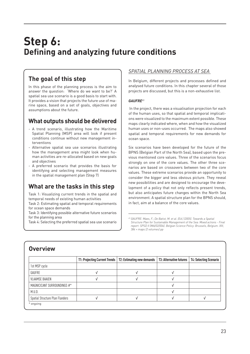## **Step 6: Defining and analyzing future conditions**

## **The goal of this step**

In this phase of the planning process is the aim to answer the question: 'Where do we want to be?' A spatial sea use scenario is a good basis to start with. It provides a vision that projects the future use of marine space, based on a set of goals, objectives and assumptions about the future.

## **What outputs should be delivered**

- A trend scenario, illustrating how the Maritime Spatial Planning (MSP) area will look if present conditions continue without new management interventions
- Alternative spatial sea use scenarios illustrating how the management area might look when human activities are re-allocated based on new goals and objectives
- A preferred scenario that provides the basis for identifying and selecting management measures in the spatial management plan (Step 7)

## **What are the tasks in this step**

Task 1: Visualizing current trends in the spatial and temporal needs of existing human activities

Task 2: Estimating spatial and temporal requirements for ocean space demands

Task 3: Identifying possible alternative future scenarios for the planning area

Task 4: Selecting the preferred spatial sea use scenario

### *SPATIAL PLANNING PROCESS AT SEA*

In Belgium, different projects and processes defined and analysed future conditions. In this chapter several of those projects are discussed, but this is a non-exhaustive list.

#### *GAUFRE<sup>45</sup>*

 In the project, there was a visualisation projection for each of the human uses, so that spatial and temporal implications were visualized to the maximum extent possible. These maps clearly indicated where, when and how the visualized human uses or non-uses occurred. The maps also showed spatial and temporal requirements for new demands for ocean space.

Six scenarios have been developed for the future of the BPNS (Belgian Part of the North Sea), based upon the previous mentioned core values. Three of the scenarios focus strongly on one of the core values. The other three scenarios are based on crossovers between two of the core values. These extreme scenarios provide an opportunity to consider the bigger and less obvious picture. They reveal new possibilities and are designed to encourage the development of a policy that not only reflects present trends, but also anticipates future changes within the North Sea environment. A spatial structure plan for the BPNS should, in fact, aim at a balance of the core values.

### **Overview**

|                                 | T1: Projecting Current Trends | T2: Estimating new demands | T3: Alternative futures | <b>T4: Selecting Scenario</b> |
|---------------------------------|-------------------------------|----------------------------|-------------------------|-------------------------------|
| 1st MSP cycle                   |                               |                            |                         |                               |
| GAUFRE                          |                               |                            |                         |                               |
| <b>VLAAMSE BAAIEN</b>           |                               |                            |                         |                               |
| MAGNICICANT SURROUNDINGS #*     |                               |                            |                         |                               |
| M.U.D.                          |                               |                            |                         |                               |
| Spatial Structure Plan Flanders |                               |                            |                         |                               |

*<sup>45</sup> GAUFRE: Maes, F.; De Batist, M. et al. (Ed.) (2005). Towards a Spatial Structure Plan for Sustainable Management of the Sea: Mixed actions - Final report: SPSD II (MA/02/006). Belgian Science Policy: Brussels, Belgium. XIII, 384 + maps (2 volumes) pp*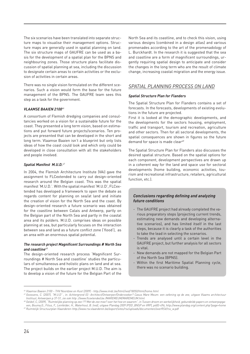The six scenarios have been translated into separate structure maps to visualise their management options. Structure maps are generally used in spatial planning on land. The six structure maps of GAUFRE can be used as a basis for the development of a spatial plan for the BPNS and neighbouring zones. Those structure plans facilitate discussion of spatial planning at sea, including the discussion to designate certain areas to certain activities or the exclusion of activities in certain areas.

There was no single vision formulated on the different scenarios. Such a vision would form the base for the future management of the BPNS. The GAUFRE team sees this step as a task for the government.

#### *VLAAMSE BAAIEN 2100<sup>46</sup>*

A consortium of Flemish dredging companies and consultancies worked on a vision for a sustainable future for the coast. They presented a long term vision, based on estimations and put forward future projects/scenarios. Ten projects are presented that can be developed in the short and long term. Vlaamse Baaien isn't a blueprint but only lists ideas of how the coast could look and which only could be developed in close consultation with all the stakeholders and people involved.

#### *Spatial Manifest M.U.D.<sup>47</sup>*

In 2004, the Flemish Architecture Institute (VAi) gave the assignment to FLCextended to carry out design-oriented research around the Belgian coast. This was the spatial manifest 'M.U.D.'. With the spatial manifest 'M.U.D', FLCextended has developed a framework to open the debate as regards content for planning on sea/at land and initiate the creation of vision for the North Sea and the coast. By design-oriented research a future scenario was obtained for the coastline between Calais and Antwerp, partly on the Belgian part of the North Sea and partly in the coastal area and its polders. M.U.D. comprises ideas on possible planning at sea, but particularly focuses on the interaction between sea and land as a future conflict zone ('flood'), as an area with an enormous spatial potential.

#### *The research project Magnificent Surroundings # North Sea and coastline<sup>48</sup>*

The design-oriented research process 'Magnificent Surroundings # North Sea and coastline' studies the particulars of simultaneous and holistic plans on land and at sea. The project builds on the earlier project M.U.D. The aim is to develop a vision of the future for the Belgian Part of the North Sea and its coastline, and to check this vision, using various designs (combined in a design atlas) and various promenades according to the art of the promenadology of L. Burckhardt. In the research it is suggested that the sea and coastline are a form of magnificent surroundings, urgently requiring spatial design to anticipate and consider the changes in the long term who are the result of climate change, increasing coastal migration and the energy issue.

#### *SPATIAL PLANNING PROCESS ON LAND*

#### *Spatial Structure Plan for Flanders*

The Spatial Structure Plan for Flanders contains a set of forecasts. In the forecasts, developments of existing evolutions in the future are projected.

First it is looked at the demographic developments, and the developments for the sectors housing, employment, traffic and transport, tourism and recreation, agriculture and other sectors. Then for all sectoral developments, the spatial consequences are shown in figures so the future demand for space is made clear<sup>49</sup>

The Spatial Structure Plan for Flanders also discusses the desired spatial structure. Based on the spatial options for each component, development perspectives are drawn up in a coherent way for the land and space use for sectoral developments (home building, economic activities, tourism and recreational infrastructure, retailers, agricultural function, etc.).

#### *Conclusions regarding defining and analyzing future conditions*

- The GAUFRE project had already completed the various preparatory steps (projecting current trends, estimating new demands and developing alternative scenarios), and has limited itself in the last steps, because it is clearly a task of the authorities to take the lead in selecting the scenarios.
- Trends are analysed until a certain level in the GAUFRE project, but further analysis for all sectors is vital.
- New demands are not mapped for the Belgian Part of the North Sea (BPNS).
- Within the first Maritime Spatial Planning cycle, there was no scenario building.

*<sup>46</sup> Vlaamse Baaien 2100 – THV Noordzee en Kust (2009) - http://www.imdc.be/html/ned/18050/html/home.html*

*<sup>47</sup> Goossens, C. (2007), "M.U.D" , in: Achtergrond 03 -Architect/Ontwerper/Onderzoeker? Casus Mare Meum: een oefening op de zee, uitgave Vlaams architectuur Instituut, Antwerpen p 37-51, zie ook http ://www.flcextended.be /MAREMEUM/MAREMEUM.html*

*<sup>48</sup> Geldof, C, (2009), "Ruimtelijke planning op zee !?? Met de zee mee? over het hoe en waarom", in Tussen droom en werkelijkheid, gebundelde papers en ontwerpopgaven, Bouma,G., Filius, F., Leinfelder, H., Waterhout, B. (red), uitgave Plandag 2009 (PDD ,BNSP en VRP), p483-496, http://www.plandag.org/content.php?page=home <sup>49</sup> Ruimtelijk Structuurplan Vlaanderen-http://www.rsv.vlaanderen.be/export/sites/rsv/uploads/documenten/overRSV/rsv\_w.pdf*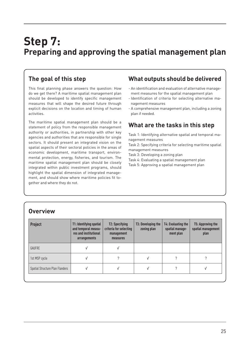## **Step 7: Preparing and approving the spatial management plan**

## **The goal of this step**

This final planning phase answers the question: How do we get there? A maritime spatial management plan should be developed to identify specific management measures that will shape the desired future through explicit decisions on the location and timing of human activities.

The maritime spatial management plan should be a statement of policy from the responsible management authority or authorities, in partnership with other key agencies and authorities that are responsible for single sectors. It should present an integrated vision on the spatial aspects of their sectoral policies in the areas of economic development, maritime transport, environmental protection, energy, fisheries, and tourism. The maritime spatial management plan should be closely integrated within public investment programs, should highlight the spatial dimension of integrated management, and should show where maritime policies fit together and where they do not.

### **What outputs should be delivered**

- An identification and evaluation of alternative management measures for the spatial management plan
- Identification of criteria for selecting alternative management measures
- A comprehensive management plan, including a zoning plan if needed.

## **What are the tasks in this step**

Task 1: Identifying alternative spatial and temporal management measures

Task 2: Specifying criteria for selecting maritime spatial management measures

Task 3: Developing a zoning plan

Task 4: Evaluating a spatial management plan

Task 5: Approving a spatial management plan

## **Overview**

| Project                         | T1: Identifying spatial<br>and temporal measu-<br>res and institutional<br>arrangements | <b>T2: Specifying</b><br>criteria for selecting<br>management<br>measures | <b>T3: Developing the</b><br>zoning plan | <b>T4: Evaluating the</b><br>spatial manage-<br>ment plan | <b>T5: Approving the</b><br>spatial management<br>plan |
|---------------------------------|-----------------------------------------------------------------------------------------|---------------------------------------------------------------------------|------------------------------------------|-----------------------------------------------------------|--------------------------------------------------------|
| GAUFRE                          |                                                                                         |                                                                           |                                          |                                                           |                                                        |
| 1st MSP cycle                   | ν                                                                                       |                                                                           |                                          | ?                                                         |                                                        |
| Spatial Structure Plan Flanders | ν                                                                                       |                                                                           |                                          | ?                                                         |                                                        |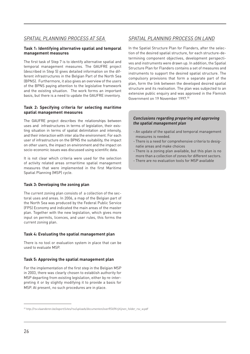#### *SPATIAL PLANNING PROCESS AT SEA*

#### **Task 1: Identifying alternative spatial and temporal management measures**

The first task of Step 7 is to identify alternative spatial and temporal management measures. The GAUFRE project (described in Step 5) gives detailed information on the different infrastructures in the Belgian Part of the North Sea (BPNS). Furthermore, it also gives an overview of the users of the BPNS paying attention to the legislative framework and the existing situation. The work forms an important basis, but there is a need to update the GAUFRE inventory.

#### **Task 2: Specifying criteria for selecting maritime spatial management measures**

The GAUFRE project describes the relationships between uses and infrastructures in terms of legislation, their existing situation in terms of spatial delimitation and intensity, and their interaction with inter alia the environment. For each user of infrastructure on the BPNS the suitability, the impact on other users, the impact on environment and the impact on socio-economic issues was discussed using scientific data.

It is not clear which criteria were used for the selection of activity related areas ormaritime spatial management measures that were implemented in the first Maritime Spatial Planning (MSP) cycle.

#### **Task 3: Developing the zoning plan**

The current zoning plan consists of a collection of the sectoral uses and areas. In 2006, a map of the Belgian part of the North Sea was produced by the Federal Public Service (FPS) Economy and indicated the main areas of the master plan. Together with the new legislation, which gives more input on permits, licences, and user rules, this forms the current zoning plan.

#### **Task 4: Evaluating the spatial management plan**

There is no tool or evaluation system in place that can be used to evaluate MSP.

#### **Task 5: Approving the spatial management plan**

For the implementation of the first step in the Belgian MSP in 2003, there was clearly chosen to establish authority for MSP departing from existing legislation, either by re-interpreting it or by slightly modifying it to provide a basis for MSP. At present, no such procedures are in place.

### *SPATIAL PLANNING PROCESS ON LAND*

In the Spatial Structure Plan for Flanders, after the selection of the desired spatial structure, for each structure-determining component objectives, development perspectives and instruments were drawn up. In addition, the Spatial Structure Plan for Flanders contains a set of measures and instruments to support the desired spatial structure. The compulsory provisions that form a separate part of the plan, form the link between the developed desired spatial structure and its realisation. The plan was subjected to an extensive public enquiry and was approved in the Flemish Government on 19 November 1997.50

#### *Conclusions regarding preparing and approving the spatial management plan*

- An update of the spatial and temporal management measures is needed.
- There is a need for comprehensive criteria to designatie areas and make choices
- There is a zoning plan available, but this plan is no more than a collection of zones for different sectors.
- There are no evaluation tools for MSP available

*<sup>50</sup> http://rsv.vlaanderen.be/export/sites/rsv/uploads/documenten/overRSV/Krijtlijnen\_folder\_rsv\_w.pdf*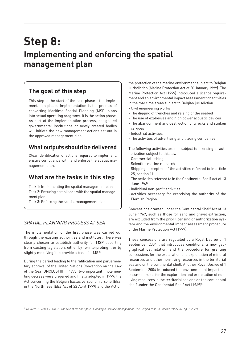## **Step 8: Implementing and enforcing the spatial management plan**

## **The goal of this step**

This step is the start of the next phase - the implementation phase. Implementation is the process of converting Maritime Spatial Planning (MSP) plans into actual operating programs. It is the action phase. As part of the implementation process, designated governmental institutions or newly created bodies will initiate the new management actions set out in the approved management plan.

## **What outputs should be delivered**

Clear identification of actions required to implement, ensure compliance with, and enforce the spatial management plan.

## **What are the tasks in this step**

Task 1: Implementing the spatial management plan Task 2: Ensuring compliance with the spatial management plan

Task 3: Enforcing the spatial management plan

### *SPATIAL PLANNING PROCESS AT SEA*

The implementation of the first phase was carried out through the existing authorities and institutes. There was clearly chosen to establish authority for MSP departing from existing legislation, either by re-interpreting it or by slightly modifying it to provide a basis for MSP.

During the period leading to the ratification and parliamentary approval of the United Nations Convention on the Law of the Sea (UNCLOS) III in 1998, two important implementing decrees were prepared and finally adopted in 1999: the Act concerning the Belgian Exclusive Economic Zone (EEZ) in the North Sea (EEZ Act of 22 April 1999) and the Act on the protection of the marine environment subject to Belgian Jurisdiction (Marine Protection Act of 20 January 1999). The Marine Protection Act (1999) introduced a licence requirement and an environmental impact assessment for activities in the maritime areas subject to Belgian jurisdiction:

- Civil engineering works
- The digging of trenches and raising of the seabed
- The use of explosives and high power acoustic devices
- The abandonment and destruction of wrecks and sunken cargoes
- Industrial activities
- The activities of advertising and trading companies.

The following activities are not subject to licensing or authorization subject to this law:

- Commercial fishing
- Scientific marine research
- Shipping, (exception of the activities referred to in article 25, section 1).
- The activities referred to in the Continental Shelf Act of 13 June 1969
- Individual non-profit activities
- Activities necessary for exercising the authority of the Flemish Region

Concessions granted under the Continental Shelf Act of 13 June 1969, such as those for sand and gravel extraction, are excluded from the prior licensing or authorization system and the environmental impact assessment procedure of the Marine Protection Act (1999).

These concessions are regulated by a Royal Decree of 1 September 2004 that introduces conditions, a new geographical delimitation, and the procedure for granting concessions for the exploration and exploitation of mineral resources and other non-living resources in the territorial sea and on the continental shelf. Another Royal Decree of 1 September 2004 introduced the environmental impact assessment rules for the exploration and exploitation of nonliving resources in the territorial sea and on the continental shelf under the Continental Shelf Act (1969)<sup>51</sup>.

*<sup>51</sup> Douvere, F.; Maes, F. (2007). The role of marine spatial planning in sea use management: The Belgian case, in: Marine Policy, 31: pp. 182-191*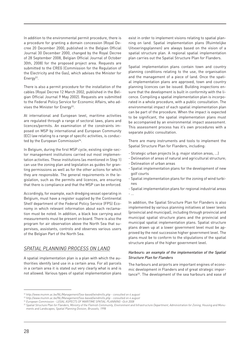In addition to the environmental permit procedure, there is a procedure for granting a domain concession (Royal Decree 20 December 2000, published in the Belgian Official Journal 30 December 2000, changed by the Royal Decree of 28 September 2008, Belgian Official Journal of October 30th, 2008) for the proposed project area. Requests are submitted to the CREG (Commission for the Regulation of the Electricity and the Gas), which advises the Minister for Energy<sup>52</sup>.

There is also a permit procedure for the installation of the cables (Royal Decree 12 March 2002, published in the Belgian Official Journal 9 May 2002). Requests are submitted to the Federal Policy Service for Economic Affairs, who advises the Minister for Energy<sup>53</sup>.

At international and European level, maritime activities are regulated through a range of sectoral laws, plans and licences/permits. An examination of the constraints imposed on MSP by international and European Community (EC) law relating to a range of specific activities, is conducted by the European Commission<sup>54</sup>.

In Belgium, during the first MSP cycle, existing single-sector management institutions carried out most implementation activities. These institutions (as mentioned in Step 1) can use the zoning plan and legislation as guides for granting permissions as well as for the other actions for which they are responsible. The general requirements in the legislation, such as the permits and licences, are ensuring that there is compliance and that the MSP can be enforced.

Accordingly, for example, each dredging vessel operating in Belgium, must have a register supplied by the Continental Shelf department of the Federal Policy Service (FPS) Economy in which relevant information about each reclamation must be noted. In addition, a black box carrying aout measurements must be present on board. There is also the program for air observation above the North Sea that supervises, assistants, controls and observes various users of the Belgian Part of the North Sea.

#### *SPATIAL PLANNING PROCESS ON LAND*

A spatial implementation plan is a plan with which the authorities identify land use in a certain area. For all parcels in a certain area it is stated out very clearly what is and is not allowed. Various types of spatial implementation plans

exist in order to implement visions relating to spatial planning on land. Spatial implementation plans (Ruimtelijke Uitvoeringsplannen) are always based on the vision of a spatial structure plan. A regional spatial implementation plan carries out the Spatial Structure Plan for Flanders.

Spatial implementation plans contain town and country planning conditions relating to the use, the organisation and the management of a piece of land. Once the spatial implementation plans are approved, town and country planning licences can be issued. Building inspections ensure that the development is built in conformity with the licence. Compiling a spatial implementation plan is incorporated in a whole procedure, with a public consultation. The environmental impact of each spatial implementation plan can be part of the procedure. When the impact is expected to be significant, the spatial implementation plans must be accompanied by an environmental impact assessment. This assessment process has it's own procedures with a separate public consultation.

There are many instruments and tools to implement the Spatial Structure Plan for Flanders, including:

- Strategic urban projects (e.g. major station areas, ...)
- Delineation of areas of natural and agricultural structure;
- Delineation of urban areas
- Spatial implementation plans for the development of new golf courts
- Spatial implementation plans for the zoning of wind turbines
- Spatial implementation plans for regional industrial areas - ...

In addition, the Spatial Structure Plan for Flanders is also implemented by various planning initiatives at lower levels (provincial and municipal), including through provincial and municipal spatial structure plans and the provincial and municipal spatial implementation plans. Spatial structure plans drawn up at a lower government level must be approved by the next successive higher government level. The plans must be to conform to the stipulations of the spatial structure plans of the higher government level.

#### *Harbours: an example of the implementation of the Spatial Structure Plan for Flanders*

The harbours and airports are important engines of economic development in Flanders and of great strategic importance<sup>55</sup>. The development of the sea harbours and ease of

*<sup>52</sup> http://www.mumm.ac.be/NL/Management/Sea-based/windmills.php - consulted on 4 august*

*<sup>53</sup> http://www.mumm.ac.be/NL/Management/Sea-based/windmills.php - consulted on 4 august*

*<sup>54</sup> European Commission - LEGAL ASPECTS OF MARITIME SPATIAL PLANNING –Octt 2008*

*<sup>55</sup> Spatial Structure Plan for Flanders, Ministry of the Flemish Community, Environment and Infrastructure Department, Administration for Zoning, Housing and Monuments and Landscapes, Spatial Planning Division, Brussels, 1998*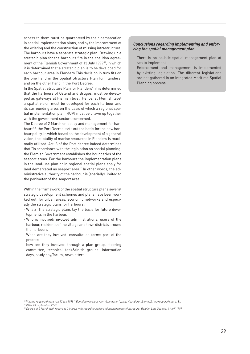access to them must be guaranteed by their demarcation in spatial implementation plans, and by the improvement of the existing and the construction of missing infrastructure. The harbours have a separate strategic plan. Drawing up a strategic plan for the harbours fits in the coalition agreement of the Flemish Government of 13 July 1999<sup>56</sup>, in which it is determined that a strategic plan is to be developed for each harbour area in Flanders.This decision in turn fits on the one hand in the Spatial Structure Plan for Flanders, and on the other hand in the Port Decree.

In the Spatial Structure Plan for Flanders<sup>57</sup> it is determined that the harbours of Ostend and Bruges, must be developed as gateways at Flemish level. Hence, at Flemish level a spatial vision must be developed for each harbour and its surrounding area, on the basis of which a regional spatial implementation plan (RUP) must be drawn up together with the government sectors concerned.

The Decree of 2 March on policy and management for harbours58 (the Port Decree) sets out the basis for the new harbour policy, in which based on the development of a general vision, the totality of marine resources in Flanders is maximally utilised. Art. 3 of the Port decree indeed determines that "in accordance with the legislation on spatial planning, the Flemish Government establishes the boundaries of the seaport areas. For the harbours the implementation plans in the land-use plan or in regional spatial plans apply for land demarcated as seaport area." In other words, the administrative authority of the harbour is (spatially) limited to the perimeter of the seaport area.

Within the framework of the spatial structure plans several strategic development schemes and plans have been worked out, for urban areas, economic networks and especially the strategic plans for harbours:

- What: The strategic plans lay the basis for future developments in the harbour.
- Who is involved: involved administrations, users of the harbour, residents of the village and town districts around the harbours
- When are they involved: consultation forms part of the process
- how are they involved: through a plan group, steering committee, technical task&finish groups, information days, study day/forum, newsletters.

#### *Conclusions regarding implementing and enforcing the spatial management plan*

- − There is no holistic spatial management plan at sea to implement
- − Enforcement and management is implemented by existing legislation. The different legislations are not gathered in an integrated Maritime Spatial Planning process

*<sup>56</sup> Vlaams regeerakkoord van 13 juli 1999 " Een nieuw project voor Vlaanderen" ,www.vlaanderen.be/ned/sites/regeerakkoord, 81.*

*<sup>57</sup> (BVR 23 September 1997)*

*<sup>58</sup> Decree of 2 March with regard to 2 March with regard to policy and management of harbours, Belgian Law Gazette, 4 April 1999*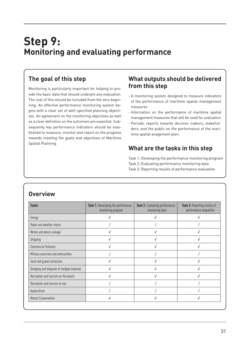## **Step 9: Monitoring and evaluating performance**

## **The goal of this step**

Monitoring is particularly important for helping to provide the basic data that should underpin any evaluation. The cost of this should be included from the very beginning. An effective performance monitoring system begins with a clear set of well-specified planning objectives. An agreement on the monitoring objectives as well as a clear definition on the outcomes are essential. Subsequently key performance indicators should be established to measure, monitor and report on the progress towards meeting the goals and objectives of Maritime Spatial Planning.

### **What outputs should be delivered from this step**

- A monitoring system designed to measure indicators of the performance of maritime spatial management measures
- Information on the performance of maritime spatial management measures that will be used for evaluation
- Periodic reports towards decision makers, stakeholders, and the public on the performance of the maritime spatial anagement plan.

## **What are the tasks in this step**

Task 1: Developing the performance monitoring program Task 2: Evaluating performance monitoring data Task 3: Reporting results of performance evaluation

| <b>Tasks</b>                              | <b>Task 1:</b> Developing the performance<br>monitoring program | <b>Task 2: Evaluating performance</b><br>monitoring data | Task 3: Reporting results of<br>performance evaluation |
|-------------------------------------------|-----------------------------------------------------------------|----------------------------------------------------------|--------------------------------------------------------|
| Energy                                    |                                                                 | ν                                                        |                                                        |
| Radar and weather masts                   |                                                                 |                                                          |                                                        |
| Wreck and wreck salvage                   |                                                                 | $\sqrt{ }$                                               |                                                        |
| Shipping                                  |                                                                 |                                                          |                                                        |
| <b>Commercial fisheries</b>               | V                                                               | V                                                        | V                                                      |
| Military exercises and ammunition         |                                                                 |                                                          |                                                        |
| Sand and gravel extraction                | V                                                               | V                                                        | V                                                      |
| Dredging and disposal of dredged material |                                                                 |                                                          |                                                        |
| Recreation and tourism on the beach       |                                                                 | $\sqrt{ }$                                               | V                                                      |
| Recreation and tourism at sea             |                                                                 |                                                          |                                                        |
| Aquaculture                               |                                                                 |                                                          |                                                        |
| <b>Nature Conservation</b>                |                                                                 |                                                          |                                                        |

## **Overview**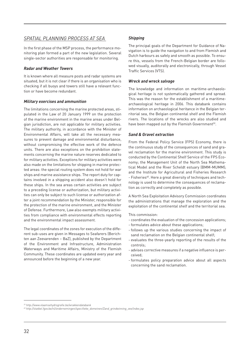#### *SPATIAL PLANNING PROCESS AT SEA*

In the first phase of the MSP process, the performance monitoring plan formed a part of the new legislation. Several single-sector authorities are responsable for monitoring.

#### *Radar and Weather Towers*

It is known where all measure posts and radar systems are situated, but it is not clear if there is an organisation who is checking if all buoys and towers still have a relevant function or have become redundant.

#### *Military exercises and ammunition*

The limitations concerning the marine protected areas, stipulated in the Law of 20 January 1999 on the protection of the marine environment in the marine areas under Belgian jurisdiction, are not applicable for military activities. The military authority, in accordance with the Minister of Environmental Affairs, will take all the necessary measures to prevent damage and environmental disturbance, without compromising the effective work of the defence units. There are also exceptions on the prohibition statements concerning the marine nature reserves dedicated to for military activities. Exceptions for military activities were also made on the limitations for shipping in marine protected areas: the special routing system does not hold for war ships and marine assistance ships. The report duty for captains involved in a shipping accident also doesn't hold for these ships. In the sea areas certain activities are subject to a preceding license or authorization, but military activities can only be subject to such license or authorization after a joint recommendation by the Minister, responsible for the protection of the marine environment, and the Minister of Defense. Furthermore, Law also exempts military activities from compliance with environmental effects reporting and the environmental impact assessment.

The legal coordinates of the zones for execution of the different sub-uses are given in Messages to Seafarers (Berichten aan Zeevarenden – BaZ), published by the Department of the Environment and Infrastructure, Administration Waterways and Maritime Affairs, Ministry of the Flemish Community. These coordinates are updated every year and announced before the beginning of a new year.

#### *Shipping*

The principal goals of the Department for Guidance of Navigation is to guide the navigation to and from Flemish and Dutch harbours as safely and smooth as possible. To ensure this, vessels from the French-Belgian border are followed visually, auditorally and electronically, through Vessel Traffic Services (VTS).

#### *Wreck and wreck salvage*

The knowledge and information on maritime-archaeological heritage is not systematically gathered and spread. This was the reason for the establishment of a maritimearchaeological heritage in 2006. This databank contains information on archaeological heritance in the Belgian territorial sea, the Belgian continental shelf and the Flemish rivers. The locations of the wrecks are also studied and have been mapped out by the Flemish Government<sup>59</sup>.

#### *Sand & Gravel extraction*

From the Federal Policy Service (FPS) Economy, there is the continuous study of the consequences of sand and gravel reclamation for the marine environment. This study is conducted by the Continental Shelf Service of the FPS Economy; the Management Unit of the North Sea Mathematical Model and the River Scheldt estuary (BMM-MUMM); and the Institute for Agricultural and Fisheries Research - Fisheries<sup>60</sup>. Here a great diversity of techniques and technology is used to determine the consequences of reclamation as correctly and completely as possible.

A North Sea Exploitation Advisory Commission coordinates the administrations that manage the exploration and the exploitation of the continental shelf and the territorial sea.

This commission:

- coordinates the evaluation of the concession applications;
- formulates advice about these applications;
- follows up the various studies concerning the impact of sand reclamation on the Belgian continental shelf;
- evaluates the three-yearly reporting of the results of the controls;
- advises corrective measures if a negative influence is perceived;
- formulates policy preparation advice about all aspects concerning the sand reclamation.

*<sup>59</sup> http://www.vlaamsehydrografie.be/wrakkendatabank*

*<sup>60</sup> http://statbel.fgov.be/nl/ondernemingen/specifieke\_domeinen/Zand\_grindwinning\_zee/index.jsp*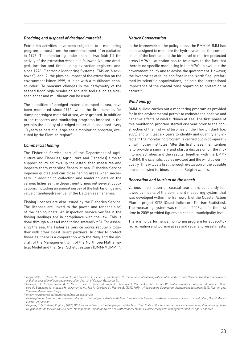#### *Dredging and disposal of dredged material*

Extraction activities have been subjected to a monitoring program, almost from the commencement of exploitation in 1976. The monitoring undertaken is two-fold: (1) the activity of the extraction vessels is followed (volume dredged, location and time), using extraction registers and, since 1996, Electronic Monitoring Systems (EMS or 'blackboxes'); and (2) the physical impact of the extraction on the environment (since 1999, studied with a multibeam echosounder). To measure changes in the bathymetry of the seabed floor, high-resolution acoustic tools such as sidescan sonar and multibeam can be used<sup>61</sup>.

The quantities of dredged material dumped at sea, have been monitored since 1991, when the first permits for dumpingdredged material at sea, were granted. In addition to the research and monitoring programs imposed in the permits,the quality of dredged material is assessed every 10 years as part of a large-scale monitoring program, executed by the Flemish region<sup>62</sup>.

#### *Commercial fishing*

The Fisheries Service (part of the Department of Agriculture and Fisheries, Agriculture and Fisheries) aims to support policy, follows up the established measures and inspects them regarding fishery at sea. Fisheries Service imposes quotas and can close fishing areas when necessary. In addition to collecting and analyzing data on the various fisheries, the department brings out several publications, including an annual survey of the fish landings and value of landings(revenue) of the Belgian sea fisheries.

Fishing licenses are also issued by the Fisheries Service. The licenses are linked to the power and tonnage(size) of the fishing boats. An inspection service verifies if the fishing landings are in compliance with the law. This is done through a vessel monitoring system(VMS). For assessing the sea, the Fisheries Service works regularly together with other Coast Guard partners. In order to protect fisheries, there is a cooperation with the Navy and the aircraft of the Management Unit of the North Sea Mathematical Model and the River Scheldt estuary (BMM-MUMM)<sup>63</sup>.

#### *Nature Conservation*

In the framework of the policy plans, the BMM-MUMM has been assigned to monitore the hydrodynamics, the composition of the benthos and the bird level in marine protected areas (MPA's). Attention has to be drawn to the fact that there is no specific monitoring in the MPA's to evaluate the government policy and to advise the government. However, the inventories of fauna and flora in the North Sea, preformed by scientific organizations, indicate the international importance of the coastal zone regarding to protection of nature<sup>64</sup>.

#### *Wind energy*

BMM-MUMM carries out a monitoring program as provided for in the environmental permit to estimate the positive and negative effects of wind turbines at sea. The first phase of this monitoring program started one year prior to the construction of the first wind turbines on the Thorton Bank (i.e. 2005) and will last six years to identify and quantify any effects.65 The monitoring program is carried out in co-operation with other institutes. After this first phase, the intention is to provide a summary and start a discussion on the monitoring activities and the results, together with the BMM-MUMM, the scientific bodies involved and the wind power industry. This will be a first thorough evaluation of the possible impacts of wind turbines at sea in Belgian waters.

#### *Recreation and tourism on the beach*

Various information on coastal tourism is constantly followed by means of the permanent measuring system that was developed within the framework of the Coastal Action Plan III project KITS (Coast Indicators Tourism Statistics). The measuring system was refined in 2008 and for the first time in 2009 provided figures on coastal municipality level.

There is no performance monitoring program for aquaculture, recreation and tourism at sea and radar and vessel masts.

*<sup>61</sup> Degrendele, K.; Roche, M.; Schotte, P.; Van Lanck er, V.; Bellec, V., and Bonne, W., this volume. Morphological evolution of the Kwinte Bank central depression before and after cessation of aggregate extraction. Journal of Coastal Research 51.*

*<sup>62</sup> Calewaert J.-B., Lescrauwaet A.-K., Mees J., Seys J., Hostens K., Redant F., Moulaert I., Raemaekers M., Demaré W., Vanhooreweder B., Mergaert K., Maes F., Douvere F., Belpaeme K., Maelfait H., Kyramarios M., Tak P., Overloop S., Peeters B. (2005) MIRA- Milieurapport Vlaanderen, Achtergronddocument 2005, Kust en zee. Vlaamse Milieumaatschappij*

*<sup>63</sup> http://lv.vlaanderen.be/nlapps/docs/default.asp?id=204*

*<sup>64</sup> Beleidsplannen beschermde mariene gebieden in het Belgische deel van de Noordzee. Minister bevoegd inzake het mariene milieu- DG5 Leefmilieu, Dienst Marien Milieu - 25 juli 2009*

*<sup>65</sup> Degraer, S. & Brabant, R. (Eds.) (2009) Offshore wind farms in the Belgian part of the North Sea: State of the art after two years of environmental monitoring. Royal Belgian Institute for Natural Sciences, Management Unit of the North Sea Mathematical Models. Marine ecosystem management unit. 287 pp. + annexes.*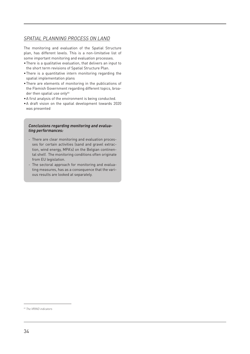#### *SPATIAL PLANNING PROCESS ON LAND*

The monitoring and evaluation of the Spatial Structure plan, has different levels. This is a non-limitative list of some important monitoring and evaluation processes.

- There is a qualitative evaluation, that delivers an input to the short term revisions of Spatial Structure Plan.
- • There is a quantitative intern monitoring regarding the spatial implementation plans
- There are elements of monitoring in the publications of the Flemish Government regarding different topics, broader then spatial use only<sup>66</sup>
- • A first analysis of the environment is being conducted.
- • A draft vision on the spatial development towards 2020 was presented

#### *Conclusions regarding monitoring and evaluating performances:*

- There are clear monitoring and evaluation processes for certain activities (sand and gravel extraction, wind energy, MPA's) on the Belgian continental shelf. The monitoring conditions often originate from EU legislation.
- The sectoral approach for monitoring and evaluating measures, has as a consequence that the various results are looked at separately.

*<sup>66</sup> The VRIND indicators*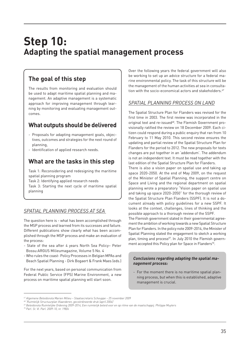## **Step 10: Adapting the spatial management process**

## **The goal of this step**

The results from monitoring and evaluation should be used to adapt maritime spatial planning and management. An adaptive management is a systematic approach for improving management through learning by monitoring and evaluating management outcomes.

## **What outputs should be delivered**

- Proposals for adapting management goals, objectives, outcomes and strategies for the next round of planning,
- Identification of applied research needs.

## **What are the tasks in this step**

Task 1: Reconsidering and redesigning the maritime spatial planning program

Task 2: Identifying applied research needs

Task 3: Starting the next cycle of maritime spatial planning

#### *SPATIAL PLANNING PROCESS AT SEA*

The question here is - what has been accomplished through the MSP process and learned from its successes and failure. Different publications show clearly what has been accomplished through the MSP process and make an evaluation of the process:

- State of the sea after 4 years North Sea Policy– Peter Bossu:ARGUS Milieumagazine, Volume 5 No. 4
- Who rules the coast- Policy Processes in Belgian MPAs and Beach Spatial Planning - Dirk Bogaert & Frank Maes (eds.)

For the next years, based on personal communication from Federal Public Service (FPS) Marine Environment, a new process on maritime spatial planning will start soon.

Over the following years the federal government will also be working to set up an advice structure for a federal marine environmental policy. The task of this structure will be the management of the human activities at sea in consultation with the socio-economical actors and stakeholders. $67$ 

#### *SPATIAL PLANNING PROCESS ON LAND*

The Spatial Structure Plan for Flanders was revised for the first time in 2003. The first review was incorporated in the original text and re-issued<sup>68</sup>. The Flemish Government provisionally ratified the review on 18 December 2009. Each citizen could respond during a public enquiry that ran from 10 February to 11 May 2010. This second review ensures the updating and partial review of the Spatial Structure Plan for Flanders for the period to 2012. The new proposals for texts changes are put together in an 'addendum'. The addendum is not an independent text. It must be read together with the last edition of the Spatial Structure Plan for Flanders.

There is also a vision paper on spatial use and taking up space 2020-2050. At the end of May 2009, on the request of the Minister of Spatial Planning, the support centre on Space and Living and the regional department on spatial planning wrote a preparatory "Vision paper on spatial use and taking up space 2020-2050" for the thorough review of the Spatial Structure Plan Flanders (SSPF). It is not a document already with policy guidelines for a new SSPF. It looks at the context, challenges, lines of thinking and the possible approach to a thorough review of the SSPF.

The Flemish government stated in their governmental agreement the ambition of working towards a new Spatial Structure Plan for Flanders. In the policy note 2009-2014, the Minister of Spatial Planning stated the engagement to sketch a working plan, timing and process<sup>69</sup>. In July 2010 the Flemish government accepted this Policy plan for Space in Flanders<sup>70</sup>.

#### *Conclusions regarding adapting the spatial management process:*

- For the moment there is no maritime spatial planning process, but when this is established, adaptive management is crucial.

*<sup>67</sup> Algemene Beleidsnota Marien Milieu – Staatsecretaris Schouppe – 25 november 2009*

*<sup>68</sup> 'Ruimtelijk Structuurplan Vlaanderen, gecoördineerde druk (april 2004)'*

*<sup>69</sup> Beleidsnota Ruimtelijke Ordening 2009-2014, Een ruimtelijk beleid voor en op ritme van de maatschappij. Philippe Muyters*

*<sup>70</sup> Parl. St. Vl. Parl. 2009-10, nr. 198/6*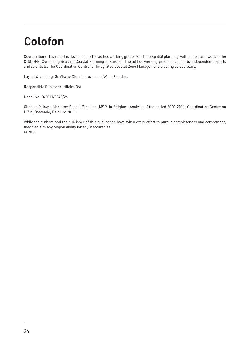# **Colofon**

Coordination: This report is developed by the ad hoc working group 'Maritime Spatial planning' within the framework of the C-SCOPE (Combining Sea and Coastal Planning in Europe). The ad hoc working group is formed by independent experts and scientists. The Coordination Centre for Integrated Coastal Zone Management is acting as secretary.

Layout & printing: Grafische Dienst, province of West-Flanders

Responsible Publisher: Hilaire Ost

Depot No: D/2011/0248/26

Cited as follows: Maritime Spatial Planning (MSP) in Belgium: Analysis of the period 2000-2011; Coordination Centre on ICZM, Oostende, Belgium 2011.

While the authors and the publisher of this publication have taken every effort to pursue completeness and correctness, they disclaim any responsibility for any inaccuracies. © 2011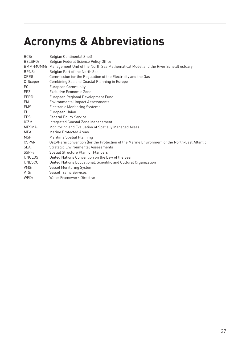# **Acronyms & Abbreviations**

| BCS:      | <b>Belgian Continental Shelf</b>                                                                |
|-----------|-------------------------------------------------------------------------------------------------|
| BELSPO:   | Belgian Federal Science Policy Office                                                           |
| BMM-MUMM: | Management Unit of the North Sea Mathematical Model and the River Scheldt estuary               |
| BPNS:     | Belgian Part of the North Sea                                                                   |
| CREG:     | Commission for the Regulation of the Electricity and the Gas                                    |
| C-Scope:  | Combining Sea and Coastal Planning in Europe                                                    |
| EC:       | <b>European Community</b>                                                                       |
| EEZ:      | Exclusive Economic Zone                                                                         |
| EFRD:     | European Regional Development Fund                                                              |
| EIA:      | <b>Environmental Impact Assessments</b>                                                         |
| EMS:      | <b>Electronic Monitoring Systems</b>                                                            |
| EU:       | European Union                                                                                  |
| FPS:      | <b>Federal Policy Service</b>                                                                   |
| ICZM:     | Integrated Coastal Zone Management                                                              |
| MESMA:    | Monitoring and Evaluation of Spatially Managed Areas                                            |
| MPA:      | Marine Protected Areas                                                                          |
| MSP:      | Maritime Spatial Planning                                                                       |
| OSPAR:    | Oslo/Paris convention (for the Protection of the Marine Environment of the North-East Atlantic) |
| SEA:      | <b>Strategic Environmental Assessments</b>                                                      |
| SSPF:     | Spatial Structure Plan for Flanders                                                             |
| UNCLOS:   | United Nations Convention on the Law of the Sea                                                 |
| UNESCO:   | United Nations Educational, Scientific and Cultural Organization                                |
| VMS:      | Vessel Monitoring System                                                                        |
| VTS:      | <b>Vessel Traffic Services</b>                                                                  |
| WFD:      | Water Framework Directive                                                                       |